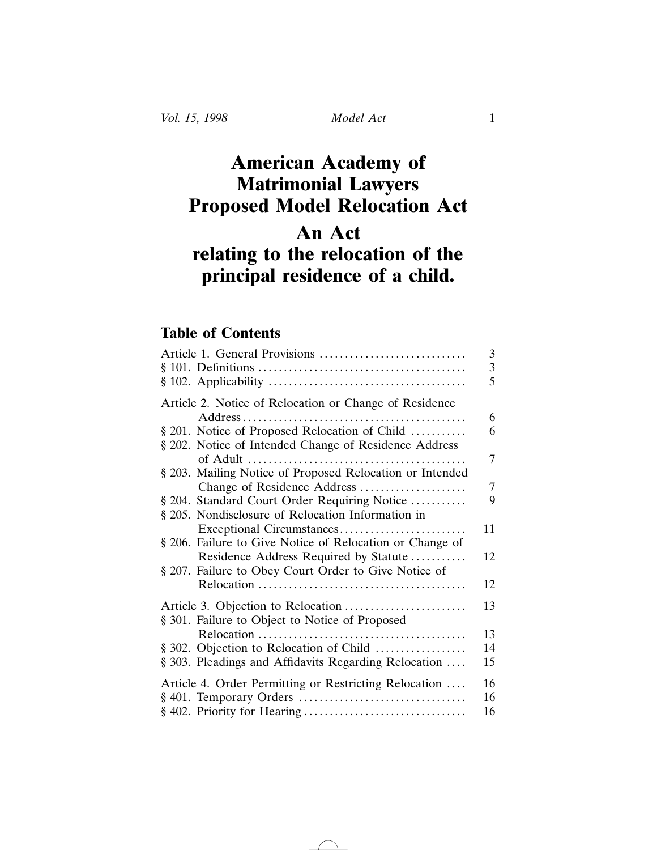## **American Academy of Matrimonial Lawyers Proposed Model Relocation Act An Act relating to the relocation of the**

# **principal residence of a child.**

### **Table of Contents**

| Article 1. General Provisions                            | 3              |
|----------------------------------------------------------|----------------|
|                                                          | 3              |
|                                                          | 5              |
| Article 2. Notice of Relocation or Change of Residence   |                |
|                                                          | 6              |
| § 201. Notice of Proposed Relocation of Child            | 6              |
| § 202. Notice of Intended Change of Residence Address    |                |
|                                                          | 7              |
| § 203. Mailing Notice of Proposed Relocation or Intended |                |
| Change of Residence Address                              | $\overline{7}$ |
| § 204. Standard Court Order Requiring Notice             | 9              |
| § 205. Nondisclosure of Relocation Information in        |                |
|                                                          | 11             |
| § 206. Failure to Give Notice of Relocation or Change of |                |
| Residence Address Required by Statute                    | 12             |
| § 207. Failure to Obey Court Order to Give Notice of     |                |
|                                                          | 12             |
|                                                          | 13             |
| § 301. Failure to Object to Notice of Proposed           |                |
|                                                          | 13             |
| § 302. Objection to Relocation of Child                  | 14             |
| § 303. Pleadings and Affidavits Regarding Relocation     | 15             |
|                                                          |                |
| Article 4. Order Permitting or Restricting Relocation    | 16             |
|                                                          | 16             |
|                                                          | 16             |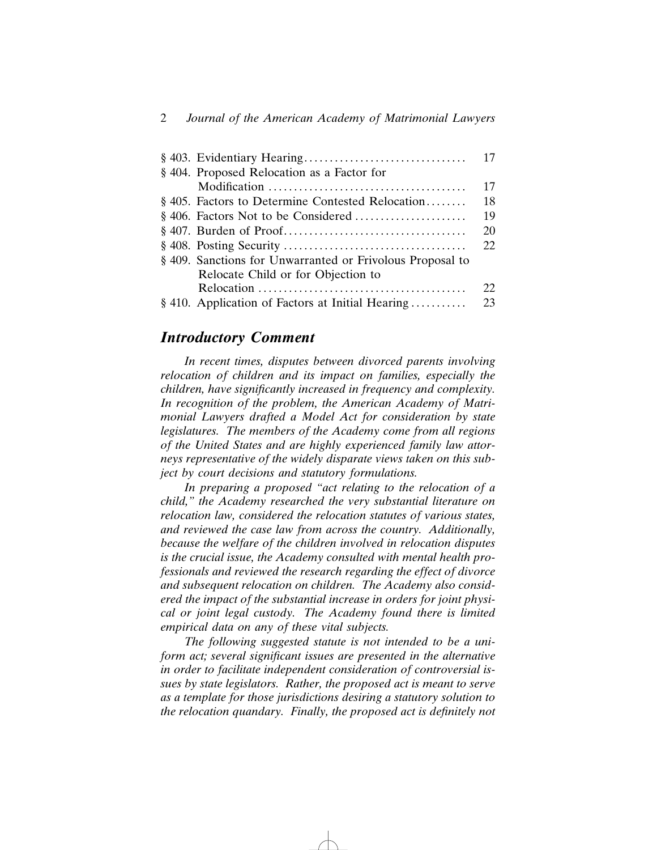|                                                           | 17 |
|-----------------------------------------------------------|----|
| § 404. Proposed Relocation as a Factor for                |    |
|                                                           | 17 |
| § 405. Factors to Determine Contested Relocation          | 18 |
|                                                           | 19 |
|                                                           | 20 |
|                                                           | 22 |
| § 409. Sanctions for Unwarranted or Frivolous Proposal to |    |
| Relocate Child or for Objection to                        |    |
|                                                           | 22 |
| § 410. Application of Factors at Initial Hearing          | 23 |

### *Introductory Comment*

*In recent times, disputes between divorced parents involving relocation of children and its impact on families, especially the children, have significantly increased in frequency and complexity. In recognition of the problem, the American Academy of Matrimonial Lawyers drafted a Model Act for consideration by state legislatures. The members of the Academy come from all regions of the United States and are highly experienced family law attorneys representative of the widely disparate views taken on this subject by court decisions and statutory formulations.*

*In preparing a proposed "act relating to the relocation of a child," the Academy researched the very substantial literature on relocation law, considered the relocation statutes of various states, and reviewed the case law from across the country. Additionally, because the welfare of the children involved in relocation disputes is the crucial issue, the Academy consulted with mental health professionals and reviewed the research regarding the effect of divorce and subsequent relocation on children. The Academy also considered the impact of the substantial increase in orders for joint physical or joint legal custody. The Academy found there is limited empirical data on any of these vital subjects.*

*The following suggested statute is not intended to be a uniform act; several significant issues are presented in the alternative in order to facilitate independent consideration of controversial issues by state legislators. Rather, the proposed act is meant to serve as a template for those jurisdictions desiring a statutory solution to the relocation quandary. Finally, the proposed act is definitely not*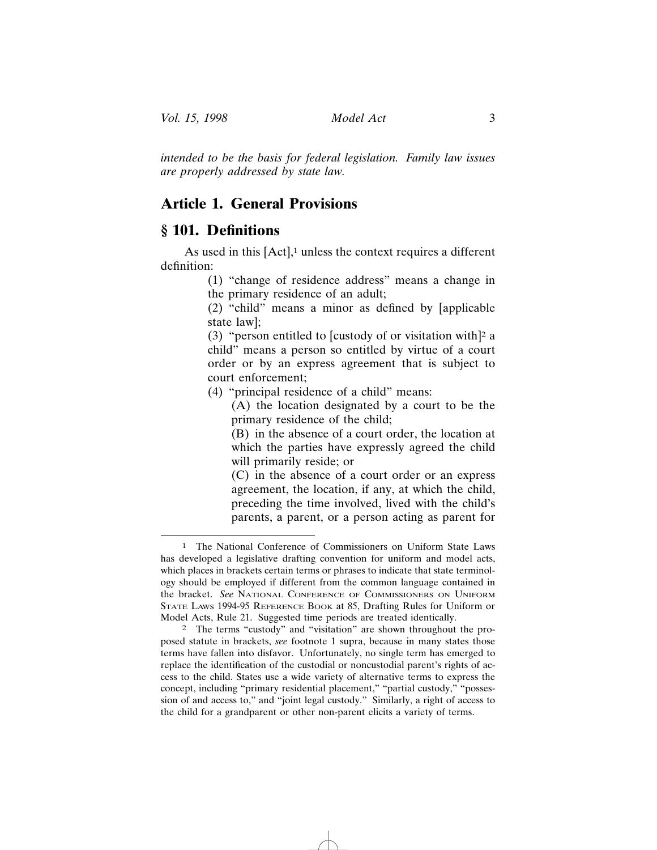*intended to be the basis for federal legislation. Family law issues are properly addressed by state law.*

### **Article 1. General Provisions**

### **§ 101. Definitions**

As used in this  $[Act]$ ,<sup>1</sup> unless the context requires a different definition:

> (1) "change of residence address" means a change in the primary residence of an adult;

> (2) "child" means a minor as defined by [applicable state law];

> (3) "person entitled to [custody of or visitation with]<sup>2</sup> a child" means a person so entitled by virtue of a court order or by an express agreement that is subject to court enforcement;

(4) "principal residence of a child" means:

(A) the location designated by a court to be the primary residence of the child;

(B) in the absence of a court order, the location at which the parties have expressly agreed the child will primarily reside; or

(C) in the absence of a court order or an express agreement, the location, if any, at which the child, preceding the time involved, lived with the child's parents, a parent, or a person acting as parent for

<sup>1</sup> The National Conference of Commissioners on Uniform State Laws has developed a legislative drafting convention for uniform and model acts, which places in brackets certain terms or phrases to indicate that state terminology should be employed if different from the common language contained in the bracket. *See* NATIONAL CONFERENCE OF COMMISSIONERS ON UNIFORM STATE LAWS 1994-95 REFERENCE BOOK at 85, Drafting Rules for Uniform or Model Acts, Rule 21. Suggested time periods are treated identically.

<sup>2</sup> The terms "custody" and "visitation" are shown throughout the proposed statute in brackets, *see* footnote 1 supra, because in many states those terms have fallen into disfavor. Unfortunately, no single term has emerged to replace the identification of the custodial or noncustodial parent's rights of access to the child. States use a wide variety of alternative terms to express the concept, including "primary residential placement," "partial custody," "possession of and access to," and "joint legal custody." Similarly, a right of access to the child for a grandparent or other non-parent elicits a variety of terms.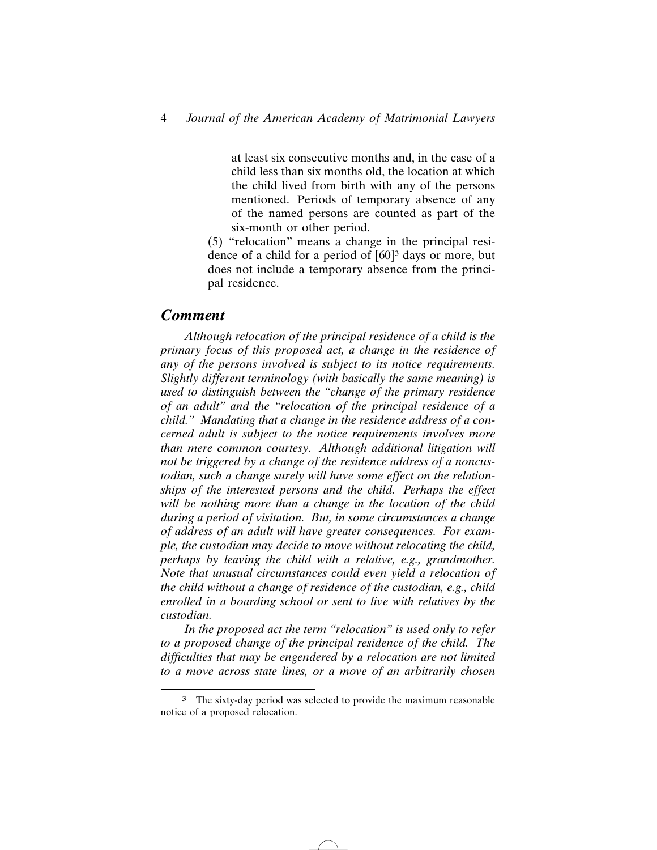at least six consecutive months and, in the case of a child less than six months old, the location at which the child lived from birth with any of the persons mentioned. Periods of temporary absence of any of the named persons are counted as part of the six-month or other period.

(5) "relocation" means a change in the principal residence of a child for a period of  $[60]$ <sup>3</sup> days or more, but does not include a temporary absence from the principal residence.

### *Comment*

*Although relocation of the principal residence of a child is the primary focus of this proposed act, a change in the residence of any of the persons involved is subject to its notice requirements. Slightly different terminology (with basically the same meaning) is used to distinguish between the "change of the primary residence of an adult" and the "relocation of the principal residence of a child." Mandating that a change in the residence address of a concerned adult is subject to the notice requirements involves more than mere common courtesy. Although additional litigation will not be triggered by a change of the residence address of a noncustodian, such a change surely will have some effect on the relationships of the interested persons and the child. Perhaps the effect will be nothing more than a change in the location of the child during a period of visitation. But, in some circumstances a change of address of an adult will have greater consequences. For example, the custodian may decide to move without relocating the child, perhaps by leaving the child with a relative, e.g., grandmother. Note that unusual circumstances could even yield a relocation of the child without a change of residence of the custodian, e.g., child enrolled in a boarding school or sent to live with relatives by the custodian.*

*In the proposed act the term "relocation" is used only to refer to a proposed change of the principal residence of the child. The difficulties that may be engendered by a relocation are not limited to a move across state lines, or a move of an arbitrarily chosen*

<sup>&</sup>lt;sup>3</sup> The sixty-day period was selected to provide the maximum reasonable notice of a proposed relocation.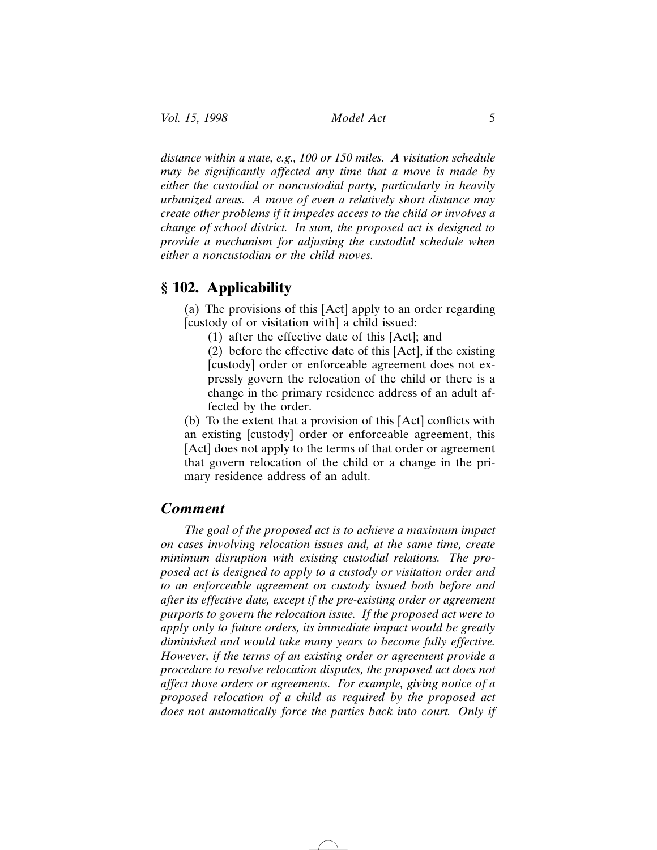*distance within a state, e.g., 100 or 150 miles. A visitation schedule may be significantly affected any time that a move is made by either the custodial or noncustodial party, particularly in heavily urbanized areas. A move of even a relatively short distance may create other problems if it impedes access to the child or involves a change of school district. In sum, the proposed act is designed to provide a mechanism for adjusting the custodial schedule when either a noncustodian or the child moves.*

### **§ 102. Applicability**

(a) The provisions of this [Act] apply to an order regarding [custody of or visitation with] a child issued:

(1) after the effective date of this [Act]; and

(2) before the effective date of this [Act], if the existing [custody] order or enforceable agreement does not expressly govern the relocation of the child or there is a change in the primary residence address of an adult affected by the order.

(b) To the extent that a provision of this [Act] conflicts with an existing [custody] order or enforceable agreement, this [Act] does not apply to the terms of that order or agreement that govern relocation of the child or a change in the primary residence address of an adult.

### *Comment*

*The goal of the proposed act is to achieve a maximum impact on cases involving relocation issues and, at the same time, create minimum disruption with existing custodial relations. The proposed act is designed to apply to a custody or visitation order and to an enforceable agreement on custody issued both before and after its effective date, except if the pre-existing order or agreement purports to govern the relocation issue. If the proposed act were to apply only to future orders, its immediate impact would be greatly diminished and would take many years to become fully effective. However, if the terms of an existing order or agreement provide a procedure to resolve relocation disputes, the proposed act does not affect those orders or agreements. For example, giving notice of a proposed relocation of a child as required by the proposed act does not automatically force the parties back into court. Only if*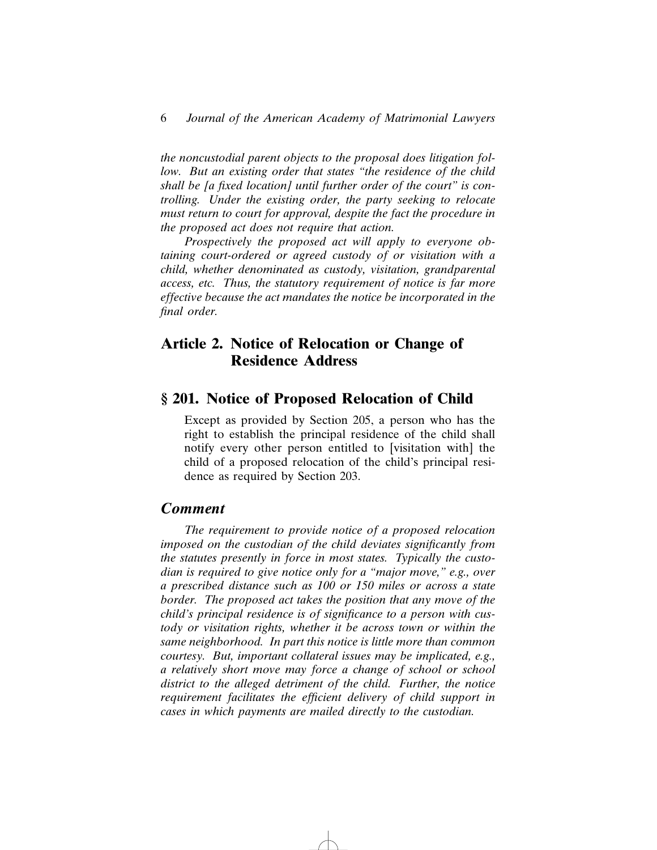*the noncustodial parent objects to the proposal does litigation follow. But an existing order that states "the residence of the child shall be [a fixed location] until further order of the court" is controlling. Under the existing order, the party seeking to relocate must return to court for approval, despite the fact the procedure in the proposed act does not require that action.*

*Prospectively the proposed act will apply to everyone obtaining court-ordered or agreed custody of or visitation with a child, whether denominated as custody, visitation, grandparental access, etc. Thus, the statutory requirement of notice is far more effective because the act mandates the notice be incorporated in the final order.*

### **Article 2. Notice of Relocation or Change of Residence Address**

### **§ 201. Notice of Proposed Relocation of Child**

Except as provided by Section 205, a person who has the right to establish the principal residence of the child shall notify every other person entitled to [visitation with] the child of a proposed relocation of the child's principal residence as required by Section 203.

### *Comment*

*The requirement to provide notice of a proposed relocation imposed on the custodian of the child deviates significantly from the statutes presently in force in most states. Typically the custodian is required to give notice only for a "major move," e.g., over a prescribed distance such as 100 or 150 miles or across a state border. The proposed act takes the position that any move of the child's principal residence is of significance to a person with custody or visitation rights, whether it be across town or within the same neighborhood. In part this notice is little more than common courtesy. But, important collateral issues may be implicated, e.g., a relatively short move may force a change of school or school district to the alleged detriment of the child. Further, the notice requirement facilitates the efficient delivery of child support in cases in which payments are mailed directly to the custodian.*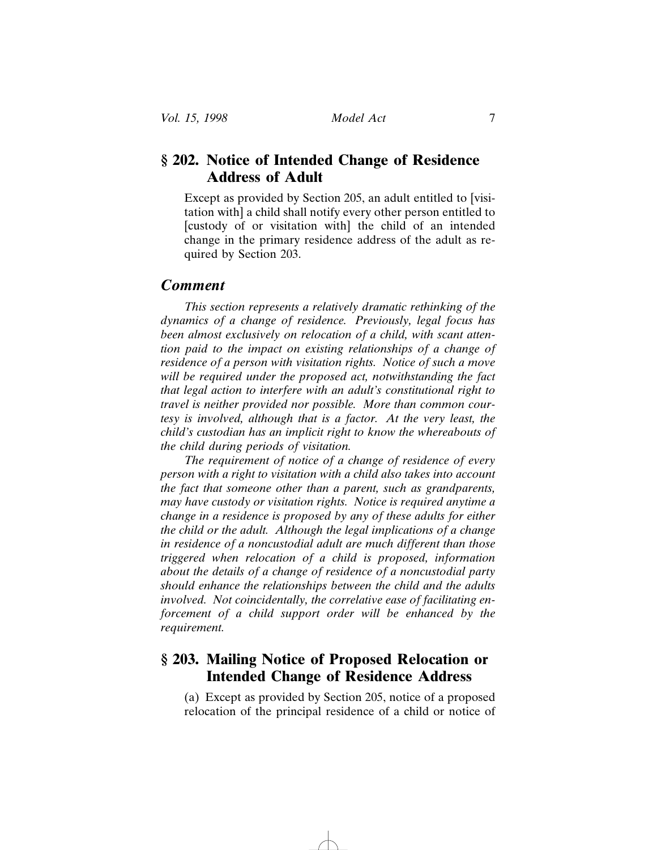### **§ 202. Notice of Intended Change of Residence Address of Adult**

Except as provided by Section 205, an adult entitled to [visitation with] a child shall notify every other person entitled to [custody of or visitation with] the child of an intended change in the primary residence address of the adult as required by Section 203.

#### *Comment*

*This section represents a relatively dramatic rethinking of the dynamics of a change of residence. Previously, legal focus has been almost exclusively on relocation of a child, with scant attention paid to the impact on existing relationships of a change of residence of a person with visitation rights. Notice of such a move will be required under the proposed act, notwithstanding the fact that legal action to interfere with an adult's constitutional right to travel is neither provided nor possible. More than common courtesy is involved, although that is a factor. At the very least, the child's custodian has an implicit right to know the whereabouts of the child during periods of visitation.*

*The requirement of notice of a change of residence of every person with a right to visitation with a child also takes into account the fact that someone other than a parent, such as grandparents, may have custody or visitation rights. Notice is required anytime a change in a residence is proposed by any of these adults for either the child or the adult. Although the legal implications of a change in residence of a noncustodial adult are much different than those triggered when relocation of a child is proposed, information about the details of a change of residence of a noncustodial party should enhance the relationships between the child and the adults involved. Not coincidentally, the correlative ease of facilitating enforcement of a child support order will be enhanced by the requirement.*

### **§ 203. Mailing Notice of Proposed Relocation or Intended Change of Residence Address**

(a) Except as provided by Section 205, notice of a proposed relocation of the principal residence of a child or notice of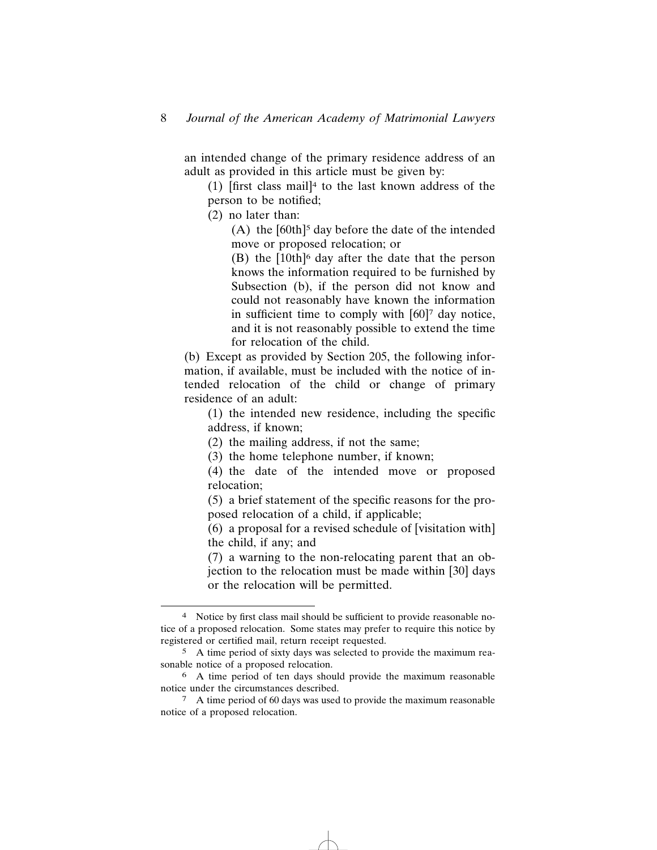an intended change of the primary residence address of an adult as provided in this article must be given by:

(1)  $[$ first class mail<sup>{4}</sup> to the last known address of the person to be notified;

(2) no later than:

(A) the  $[60th]^5$  day before the date of the intended move or proposed relocation; or

(B) the [10th]6 day after the date that the person knows the information required to be furnished by Subsection (b), if the person did not know and could not reasonably have known the information in sufficient time to comply with [60]<sup>7</sup> day notice, and it is not reasonably possible to extend the time for relocation of the child.

(b) Except as provided by Section 205, the following information, if available, must be included with the notice of intended relocation of the child or change of primary residence of an adult:

(1) the intended new residence, including the specific address, if known;

(2) the mailing address, if not the same;

(3) the home telephone number, if known;

(4) the date of the intended move or proposed relocation;

(5) a brief statement of the specific reasons for the proposed relocation of a child, if applicable;

(6) a proposal for a revised schedule of [visitation with] the child, if any; and

(7) a warning to the non-relocating parent that an objection to the relocation must be made within [30] days or the relocation will be permitted.

<sup>4</sup> Notice by first class mail should be sufficient to provide reasonable notice of a proposed relocation. Some states may prefer to require this notice by registered or certified mail, return receipt requested.

<sup>5</sup> A time period of sixty days was selected to provide the maximum reasonable notice of a proposed relocation.

<sup>6</sup> A time period of ten days should provide the maximum reasonable notice under the circumstances described.

<sup>7</sup> A time period of 60 days was used to provide the maximum reasonable notice of a proposed relocation.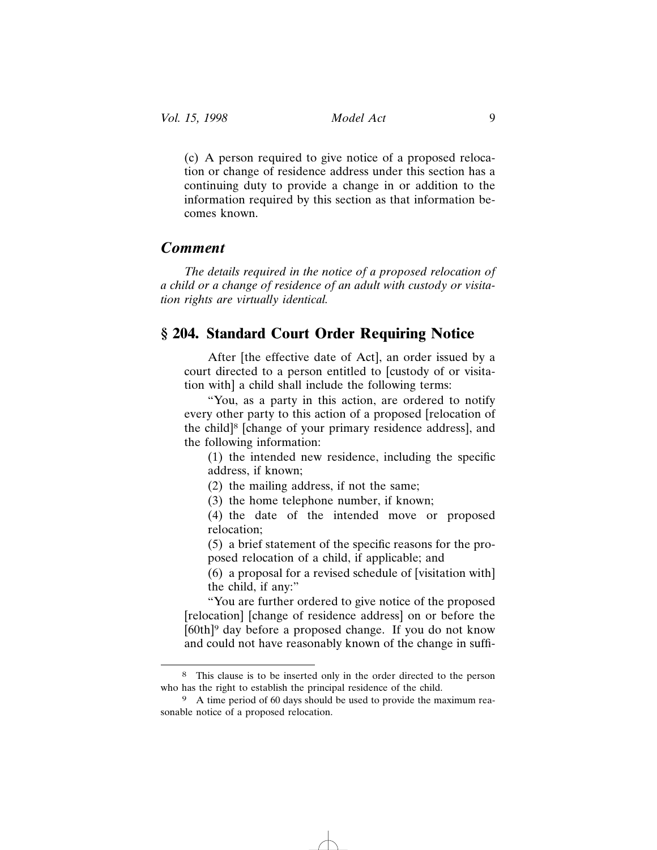(c) A person required to give notice of a proposed relocation or change of residence address under this section has a continuing duty to provide a change in or addition to the information required by this section as that information becomes known.

### *Comment*

*The details required in the notice of a proposed relocation of a child or a change of residence of an adult with custody or visitation rights are virtually identical.*

### **§ 204. Standard Court Order Requiring Notice**

After [the effective date of Act], an order issued by a court directed to a person entitled to [custody of or visitation with] a child shall include the following terms:

"You, as a party in this action, are ordered to notify every other party to this action of a proposed [relocation of the child]8 [change of your primary residence address], and the following information:

(1) the intended new residence, including the specific address, if known;

(2) the mailing address, if not the same;

(3) the home telephone number, if known;

(4) the date of the intended move or proposed relocation;

(5) a brief statement of the specific reasons for the proposed relocation of a child, if applicable; and

(6) a proposal for a revised schedule of [visitation with] the child, if any:"

"You are further ordered to give notice of the proposed [relocation] [change of residence address] on or before the [60th]9 day before a proposed change. If you do not know and could not have reasonably known of the change in suffi-

<sup>8</sup> This clause is to be inserted only in the order directed to the person who has the right to establish the principal residence of the child.

<sup>9</sup> A time period of 60 days should be used to provide the maximum reasonable notice of a proposed relocation.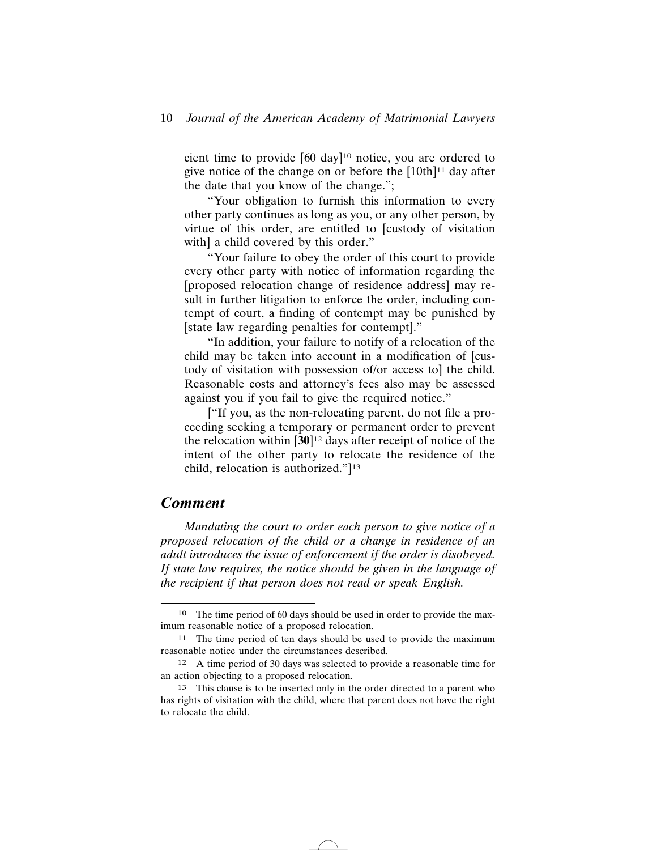#### 10 *Journal of the American Academy of Matrimonial Lawyers*

cient time to provide [60 day]10 notice, you are ordered to give notice of the change on or before the  $[10th]$ <sup>11</sup> day after the date that you know of the change.";

"Your obligation to furnish this information to every other party continues as long as you, or any other person, by virtue of this order, are entitled to [custody of visitation with] a child covered by this order."

"Your failure to obey the order of this court to provide every other party with notice of information regarding the [proposed relocation change of residence address] may result in further litigation to enforce the order, including contempt of court, a finding of contempt may be punished by [state law regarding penalties for contempt]."

"In addition, your failure to notify of a relocation of the child may be taken into account in a modification of [custody of visitation with possession of/or access to] the child. Reasonable costs and attorney's fees also may be assessed against you if you fail to give the required notice."

["If you, as the non-relocating parent, do not file a proceeding seeking a temporary or permanent order to prevent the relocation within [**30**]12 days after receipt of notice of the intent of the other party to relocate the residence of the child, relocation is authorized."]13

### *Comment*

*Mandating the court to order each person to give notice of a proposed relocation of the child or a change in residence of an adult introduces the issue of enforcement if the order is disobeyed. If state law requires, the notice should be given in the language of the recipient if that person does not read or speak English.*

<sup>10</sup> The time period of 60 days should be used in order to provide the maximum reasonable notice of a proposed relocation.

<sup>11</sup> The time period of ten days should be used to provide the maximum reasonable notice under the circumstances described.

<sup>12</sup> A time period of 30 days was selected to provide a reasonable time for an action objecting to a proposed relocation.

<sup>13</sup> This clause is to be inserted only in the order directed to a parent who has rights of visitation with the child, where that parent does not have the right to relocate the child.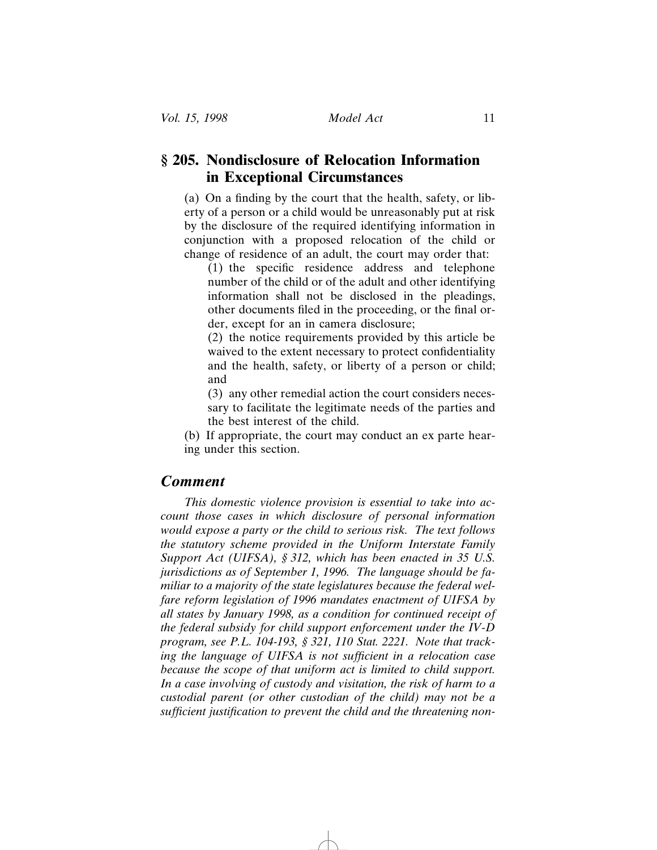### **§ 205. Nondisclosure of Relocation Information in Exceptional Circumstances**

(a) On a finding by the court that the health, safety, or liberty of a person or a child would be unreasonably put at risk by the disclosure of the required identifying information in conjunction with a proposed relocation of the child or change of residence of an adult, the court may order that:

(1) the specific residence address and telephone number of the child or of the adult and other identifying information shall not be disclosed in the pleadings, other documents filed in the proceeding, or the final order, except for an in camera disclosure;

(2) the notice requirements provided by this article be waived to the extent necessary to protect confidentiality and the health, safety, or liberty of a person or child; and

(3) any other remedial action the court considers necessary to facilitate the legitimate needs of the parties and the best interest of the child.

(b) If appropriate, the court may conduct an ex parte hearing under this section.

### *Comment*

*This domestic violence provision is essential to take into account those cases in which disclosure of personal information would expose a party or the child to serious risk. The text follows the statutory scheme provided in the Uniform Interstate Family Support Act (UIFSA), § 312, which has been enacted in 35 U.S. jurisdictions as of September 1, 1996. The language should be familiar to a majority of the state legislatures because the federal welfare reform legislation of 1996 mandates enactment of UIFSA by all states by January 1998, as a condition for continued receipt of the federal subsidy for child support enforcement under the IV-D program, see P.L. 104-193, § 321, 110 Stat. 2221. Note that tracking the language of UIFSA is not sufficient in a relocation case because the scope of that uniform act is limited to child support. In a case involving of custody and visitation, the risk of harm to a custodial parent (or other custodian of the child) may not be a sufficient justification to prevent the child and the threatening non-*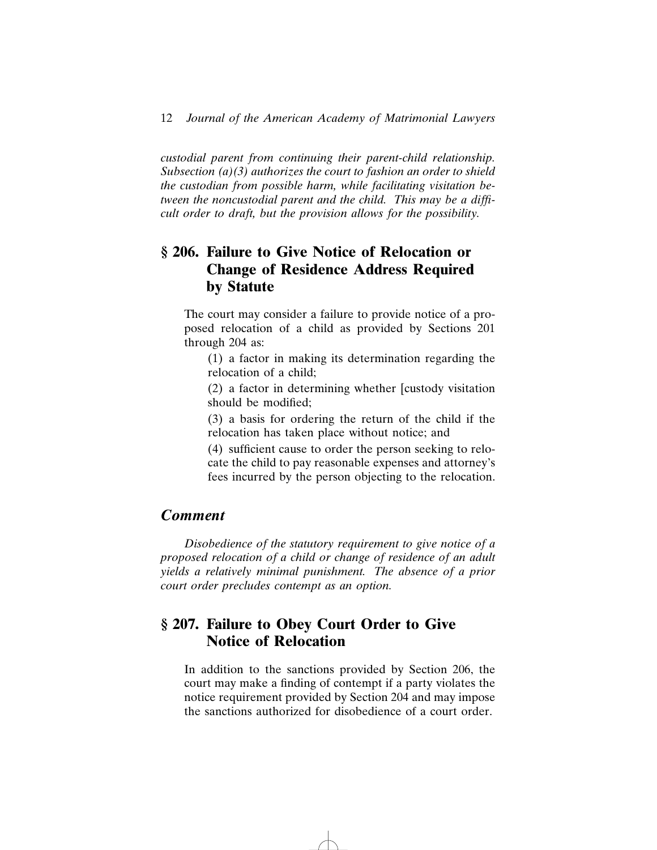*custodial parent from continuing their parent-child relationship. Subsection (a)(3) authorizes the court to fashion an order to shield the custodian from possible harm, while facilitating visitation between the noncustodial parent and the child. This may be a difficult order to draft, but the provision allows for the possibility.*

### **§ 206. Failure to Give Notice of Relocation or Change of Residence Address Required by Statute**

The court may consider a failure to provide notice of a proposed relocation of a child as provided by Sections 201 through 204 as:

(1) a factor in making its determination regarding the relocation of a child;

(2) a factor in determining whether [custody visitation should be modified;

(3) a basis for ordering the return of the child if the relocation has taken place without notice; and

(4) sufficient cause to order the person seeking to relocate the child to pay reasonable expenses and attorney's fees incurred by the person objecting to the relocation.

### *Comment*

*Disobedience of the statutory requirement to give notice of a proposed relocation of a child or change of residence of an adult yields a relatively minimal punishment. The absence of a prior court order precludes contempt as an option.*

### **§ 207. Failure to Obey Court Order to Give Notice of Relocation**

In addition to the sanctions provided by Section 206, the court may make a finding of contempt if a party violates the notice requirement provided by Section 204 and may impose the sanctions authorized for disobedience of a court order.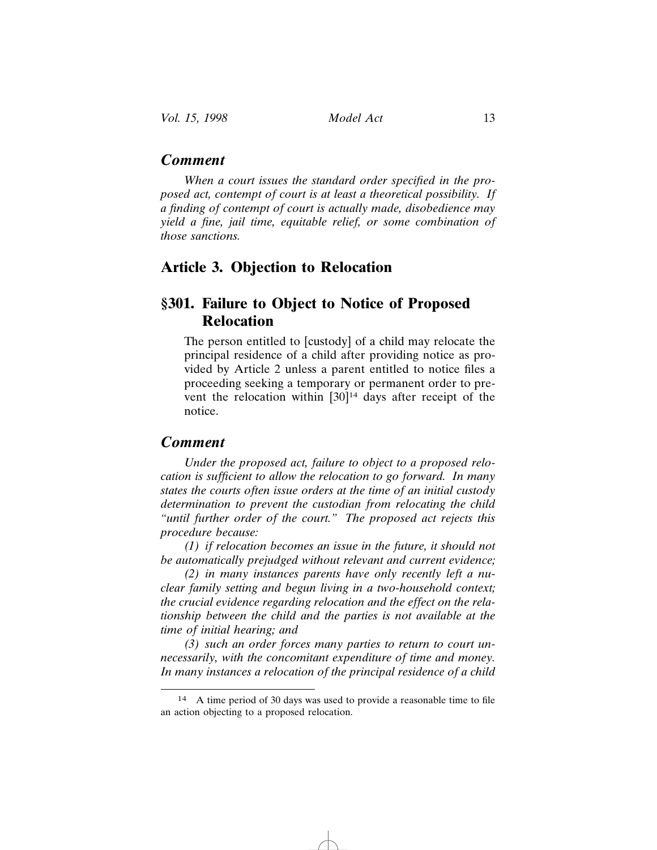*When a court issues the standard order specified in the proposed act, contempt of court is at least a theoretical possibility. If a finding of contempt of court is actually made, disobedience may yield a fine, jail time, equitable relief, or some combination of those sanctions.*

### **Article 3. Objection to Relocation**

### **§301. Failure to Object to Notice of Proposed Relocation**

The person entitled to [custody] of a child may relocate the principal residence of a child after providing notice as provided by Article 2 unless a parent entitled to notice files a proceeding seeking a temporary or permanent order to prevent the relocation within  $[30]$ <sup>14</sup> days after receipt of the notice.

### *Comment*

*Under the proposed act, failure to object to a proposed relocation is sufficient to allow the relocation to go forward. In many states the courts often issue orders at the time of an initial custody determination to prevent the custodian from relocating the child "until further order of the court." The proposed act rejects this procedure because:*

*(1) if relocation becomes an issue in the future, it should not be automatically prejudged without relevant and current evidence;*

*(2) in many instances parents have only recently left a nuclear family setting and begun living in a two-household context; the crucial evidence regarding relocation and the effect on the relationship between the child and the parties is not available at the time of initial hearing; and*

*(3) such an order forces many parties to return to court unnecessarily, with the concomitant expenditure of time and money. In many instances a relocation of the principal residence of a child*

<sup>14</sup> A time period of 30 days was used to provide a reasonable time to file an action objecting to a proposed relocation.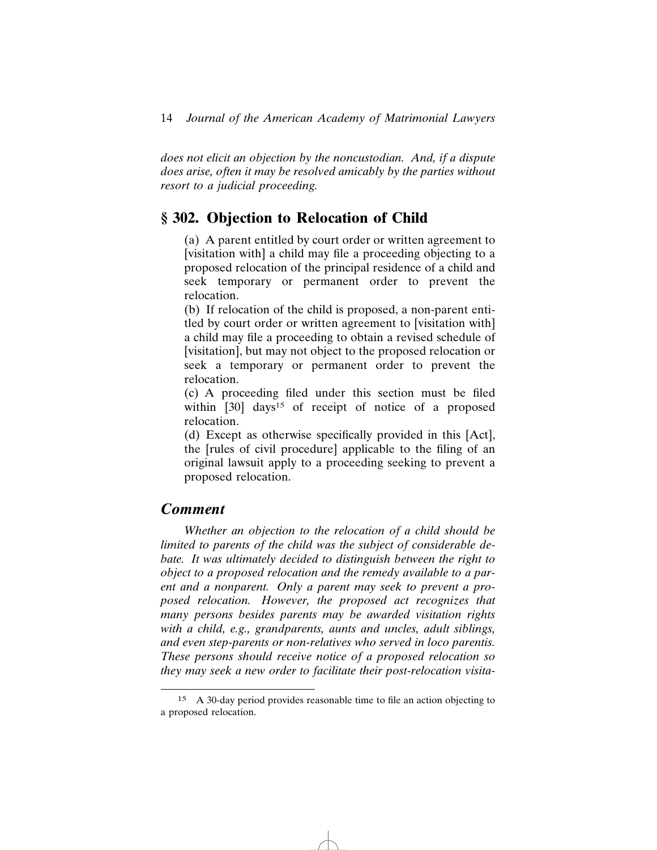*does not elicit an objection by the noncustodian. And, if a dispute does arise, often it may be resolved amicably by the parties without resort to a judicial proceeding.*

### **§ 302. Objection to Relocation of Child**

(a) A parent entitled by court order or written agreement to [visitation with] a child may file a proceeding objecting to a proposed relocation of the principal residence of a child and seek temporary or permanent order to prevent the relocation.

(b) If relocation of the child is proposed, a non-parent entitled by court order or written agreement to [visitation with] a child may file a proceeding to obtain a revised schedule of [visitation], but may not object to the proposed relocation or seek a temporary or permanent order to prevent the relocation.

(c) A proceeding filed under this section must be filed within [30] days<sup>15</sup> of receipt of notice of a proposed relocation.

(d) Except as otherwise specifically provided in this [Act], the [rules of civil procedure] applicable to the filing of an original lawsuit apply to a proceeding seeking to prevent a proposed relocation.

#### *Comment*

*Whether an objection to the relocation of a child should be limited to parents of the child was the subject of considerable debate. It was ultimately decided to distinguish between the right to object to a proposed relocation and the remedy available to a parent and a nonparent. Only a parent may seek to prevent a proposed relocation. However, the proposed act recognizes that many persons besides parents may be awarded visitation rights with a child, e.g., grandparents, aunts and uncles, adult siblings, and even step-parents or non-relatives who served in loco parentis. These persons should receive notice of a proposed relocation so they may seek a new order to facilitate their post-relocation visita-*

<sup>15</sup> A 30-day period provides reasonable time to file an action objecting to a proposed relocation.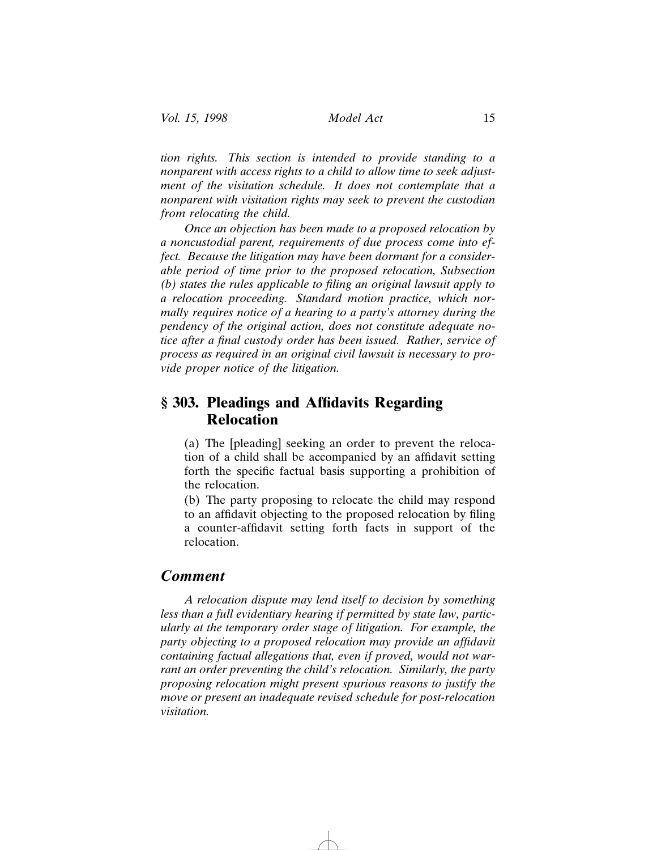*tion rights. This section is intended to provide standing to a nonparent with access rights to a child to allow time to seek adjustment of the visitation schedule. It does not contemplate that a nonparent with visitation rights may seek to prevent the custodian from relocating the child.*

*Once an objection has been made to a proposed relocation by a noncustodial parent, requirements of due process come into effect. Because the litigation may have been dormant for a considerable period of time prior to the proposed relocation, Subsection (b) states the rules applicable to filing an original lawsuit apply to a relocation proceeding. Standard motion practice, which normally requires notice of a hearing to a party's attorney during the pendency of the original action, does not constitute adequate notice after a final custody order has been issued. Rather, service of process as required in an original civil lawsuit is necessary to provide proper notice of the litigation.*

### **§ 303. Pleadings and Affidavits Regarding Relocation**

(a) The [pleading] seeking an order to prevent the relocation of a child shall be accompanied by an affidavit setting forth the specific factual basis supporting a prohibition of the relocation.

(b) The party proposing to relocate the child may respond to an affidavit objecting to the proposed relocation by filing a counter-affidavit setting forth facts in support of the relocation.

### *Comment*

*A relocation dispute may lend itself to decision by something less than a full evidentiary hearing if permitted by state law, particularly at the temporary order stage of litigation. For example, the party objecting to a proposed relocation may provide an affidavit containing factual allegations that, even if proved, would not warrant an order preventing the child's relocation. Similarly, the party proposing relocation might present spurious reasons to justify the move or present an inadequate revised schedule for post-relocation visitation.*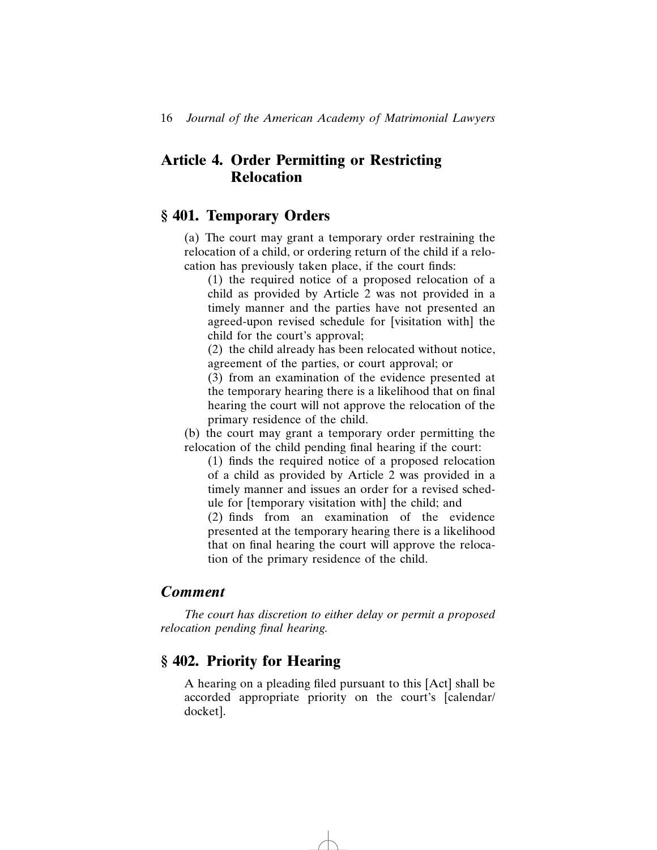### **Article 4. Order Permitting or Restricting Relocation**

### **§ 401. Temporary Orders**

(a) The court may grant a temporary order restraining the relocation of a child, or ordering return of the child if a relocation has previously taken place, if the court finds:

(1) the required notice of a proposed relocation of a child as provided by Article 2 was not provided in a timely manner and the parties have not presented an agreed-upon revised schedule for [visitation with] the child for the court's approval;

(2) the child already has been relocated without notice, agreement of the parties, or court approval; or

(3) from an examination of the evidence presented at the temporary hearing there is a likelihood that on final hearing the court will not approve the relocation of the primary residence of the child.

(b) the court may grant a temporary order permitting the relocation of the child pending final hearing if the court:

(1) finds the required notice of a proposed relocation of a child as provided by Article 2 was provided in a timely manner and issues an order for a revised schedule for [temporary visitation with] the child; and

(2) finds from an examination of the evidence presented at the temporary hearing there is a likelihood that on final hearing the court will approve the relocation of the primary residence of the child.

### *Comment*

*The court has discretion to either delay or permit a proposed relocation pending final hearing.*

### **§ 402. Priority for Hearing**

A hearing on a pleading filed pursuant to this [Act] shall be accorded appropriate priority on the court's [calendar/ docket].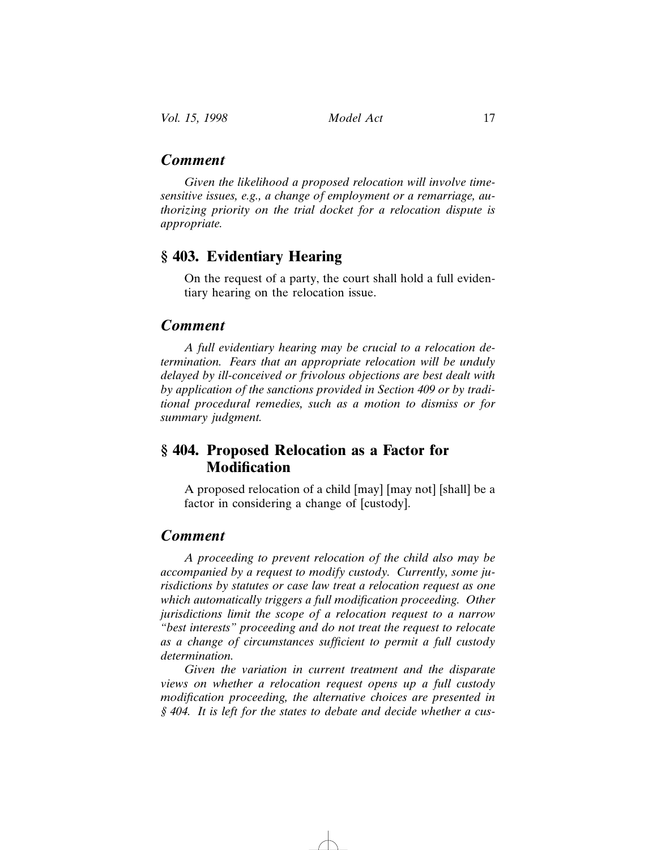### *Comment*

*Given the likelihood a proposed relocation will involve timesensitive issues, e.g., a change of employment or a remarriage, authorizing priority on the trial docket for a relocation dispute is appropriate.*

### **§ 403. Evidentiary Hearing**

On the request of a party, the court shall hold a full evidentiary hearing on the relocation issue.

#### *Comment*

*A full evidentiary hearing may be crucial to a relocation determination. Fears that an appropriate relocation will be unduly delayed by ill-conceived or frivolous objections are best dealt with by application of the sanctions provided in Section 409 or by traditional procedural remedies, such as a motion to dismiss or for summary judgment.*

### **§ 404. Proposed Relocation as a Factor for Modification**

A proposed relocation of a child [may] [may not] [shall] be a factor in considering a change of [custody].

### *Comment*

*A proceeding to prevent relocation of the child also may be accompanied by a request to modify custody. Currently, some jurisdictions by statutes or case law treat a relocation request as one which automatically triggers a full modification proceeding. Other jurisdictions limit the scope of a relocation request to a narrow "best interests" proceeding and do not treat the request to relocate as a change of circumstances sufficient to permit a full custody determination.*

*Given the variation in current treatment and the disparate views on whether a relocation request opens up a full custody modification proceeding, the alternative choices are presented in § 404. It is left for the states to debate and decide whether a cus-*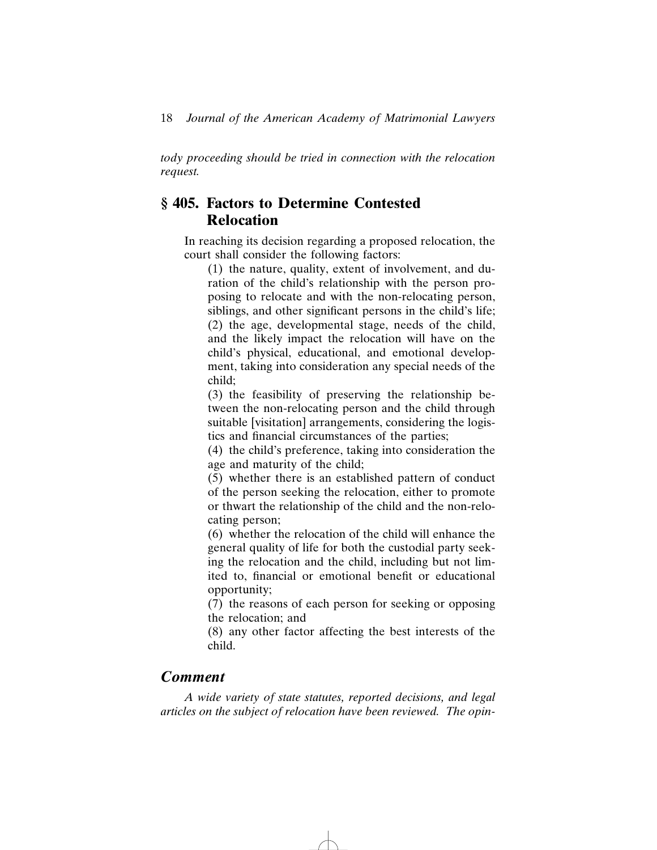*tody proceeding should be tried in connection with the relocation request.*

### **§ 405. Factors to Determine Contested Relocation**

In reaching its decision regarding a proposed relocation, the court shall consider the following factors:

(1) the nature, quality, extent of involvement, and duration of the child's relationship with the person proposing to relocate and with the non-relocating person, siblings, and other significant persons in the child's life; (2) the age, developmental stage, needs of the child, and the likely impact the relocation will have on the child's physical, educational, and emotional development, taking into consideration any special needs of the child;

(3) the feasibility of preserving the relationship between the non-relocating person and the child through suitable [visitation] arrangements, considering the logistics and financial circumstances of the parties;

(4) the child's preference, taking into consideration the age and maturity of the child;

(5) whether there is an established pattern of conduct of the person seeking the relocation, either to promote or thwart the relationship of the child and the non-relocating person;

(6) whether the relocation of the child will enhance the general quality of life for both the custodial party seeking the relocation and the child, including but not limited to, financial or emotional benefit or educational opportunity;

(7) the reasons of each person for seeking or opposing the relocation; and

(8) any other factor affecting the best interests of the child.

#### *Comment*

*A wide variety of state statutes, reported decisions, and legal articles on the subject of relocation have been reviewed. The opin-*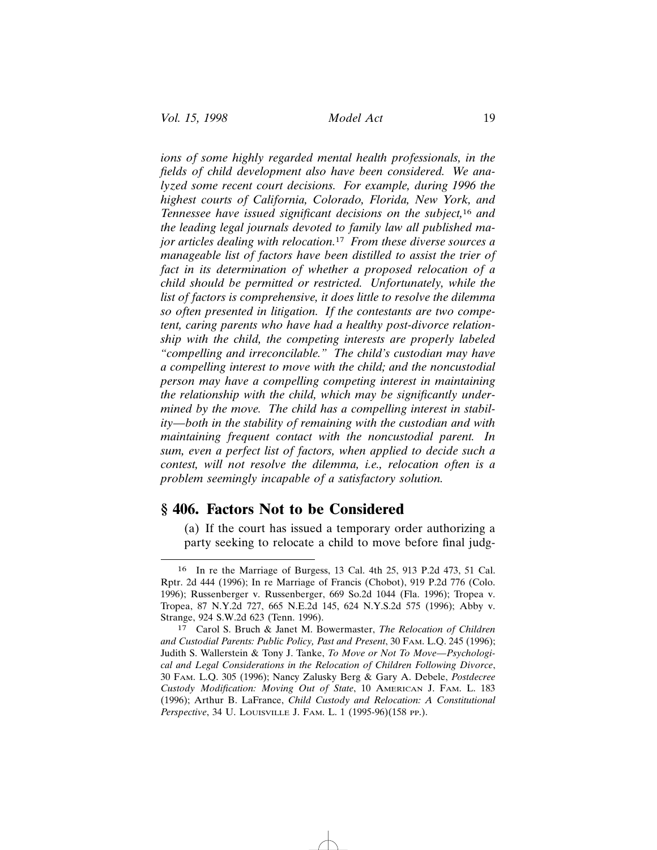*ions of some highly regarded mental health professionals, in the fields of child development also have been considered. We analyzed some recent court decisions. For example, during 1996 the highest courts of California, Colorado, Florida, New York, and Tennessee have issued significant decisions on the subject,*16 *and the leading legal journals devoted to family law all published major articles dealing with relocation.*17 *From these diverse sources a manageable list of factors have been distilled to assist the trier of fact in its determination of whether a proposed relocation of a child should be permitted or restricted. Unfortunately, while the list of factors is comprehensive, it does little to resolve the dilemma so often presented in litigation. If the contestants are two competent, caring parents who have had a healthy post-divorce relationship with the child, the competing interests are properly labeled "compelling and irreconcilable." The child's custodian may have a compelling interest to move with the child; and the noncustodial person may have a compelling competing interest in maintaining the relationship with the child, which may be significantly undermined by the move. The child has a compelling interest in stability—both in the stability of remaining with the custodian and with maintaining frequent contact with the noncustodial parent. In sum, even a perfect list of factors, when applied to decide such a contest, will not resolve the dilemma, i.e., relocation often is a problem seemingly incapable of a satisfactory solution.*

### **§ 406. Factors Not to be Considered**

(a) If the court has issued a temporary order authorizing a party seeking to relocate a child to move before final judg-

<sup>16</sup> In re the Marriage of Burgess, 13 Cal. 4th 25, 913 P.2d 473, 51 Cal. Rptr. 2d 444 (1996); In re Marriage of Francis (Chobot), 919 P.2d 776 (Colo. 1996); Russenberger v. Russenberger, 669 So.2d 1044 (Fla. 1996); Tropea v. Tropea, 87 N.Y.2d 727, 665 N.E.2d 145, 624 N.Y.S.2d 575 (1996); Abby v. Strange, 924 S.W.2d 623 (Tenn. 1996).

<sup>17</sup> Carol S. Bruch & Janet M. Bowermaster, *The Relocation of Children and Custodial Parents: Public Policy, Past and Present*, 30 FAM. L.Q. 245 (1996); Judith S. Wallerstein & Tony J. Tanke, *To Move or Not To Move—Psychological and Legal Considerations in the Relocation of Children Following Divorce*, 30 FAM. L.Q. 305 (1996); Nancy Zalusky Berg & Gary A. Debele, *Postdecree Custody Modification: Moving Out of State*, 10 AMERICAN J. FAM. L. 183 (1996); Arthur B. LaFrance, *Child Custody and Relocation: A Constitutional Perspective*, 34 U. LOUISVILLE J. FAM. L. 1 (1995-96)(158 PP.).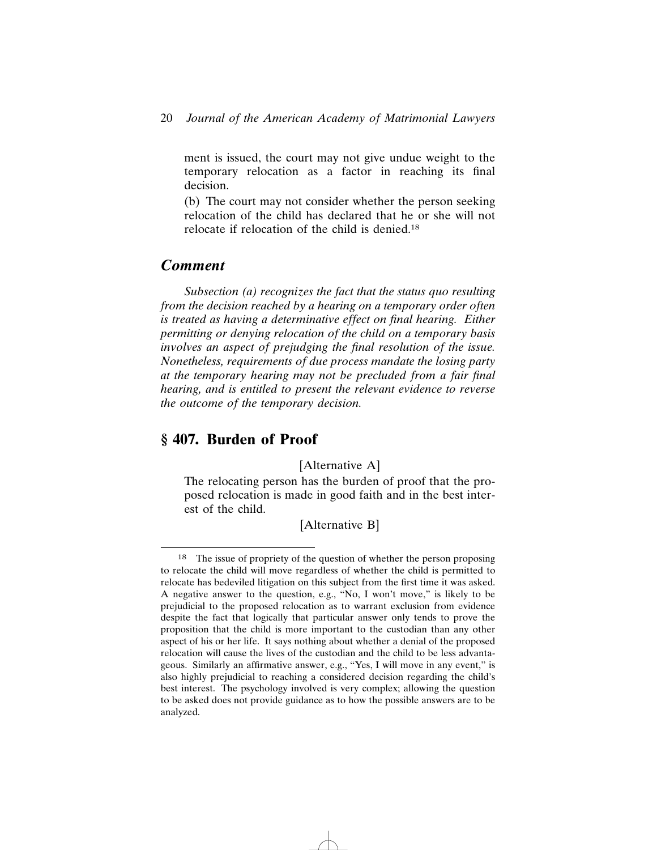ment is issued, the court may not give undue weight to the temporary relocation as a factor in reaching its final decision.

(b) The court may not consider whether the person seeking relocation of the child has declared that he or she will not relocate if relocation of the child is denied.18

### *Comment*

*Subsection (a) recognizes the fact that the status quo resulting from the decision reached by a hearing on a temporary order often is treated as having a determinative effect on final hearing. Either permitting or denying relocation of the child on a temporary basis involves an aspect of prejudging the final resolution of the issue. Nonetheless, requirements of due process mandate the losing party at the temporary hearing may not be precluded from a fair final hearing, and is entitled to present the relevant evidence to reverse the outcome of the temporary decision.*

### **§ 407. Burden of Proof**

[Alternative A]

The relocating person has the burden of proof that the proposed relocation is made in good faith and in the best interest of the child.

[Alternative B]

<sup>18</sup> The issue of propriety of the question of whether the person proposing to relocate the child will move regardless of whether the child is permitted to relocate has bedeviled litigation on this subject from the first time it was asked. A negative answer to the question, e.g., "No, I won't move," is likely to be prejudicial to the proposed relocation as to warrant exclusion from evidence despite the fact that logically that particular answer only tends to prove the proposition that the child is more important to the custodian than any other aspect of his or her life. It says nothing about whether a denial of the proposed relocation will cause the lives of the custodian and the child to be less advantageous. Similarly an affirmative answer, e.g., "Yes, I will move in any event," is also highly prejudicial to reaching a considered decision regarding the child's best interest. The psychology involved is very complex; allowing the question to be asked does not provide guidance as to how the possible answers are to be analyzed.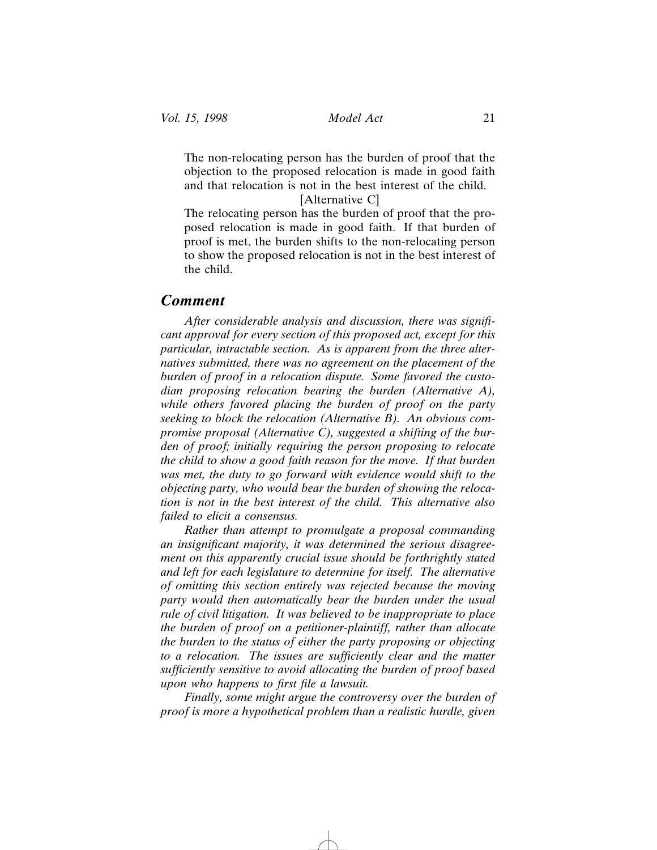The non-relocating person has the burden of proof that the objection to the proposed relocation is made in good faith and that relocation is not in the best interest of the child.

#### [Alternative C]

The relocating person has the burden of proof that the proposed relocation is made in good faith. If that burden of proof is met, the burden shifts to the non-relocating person to show the proposed relocation is not in the best interest of the child.

#### *Comment*

*After considerable analysis and discussion, there was significant approval for every section of this proposed act, except for this particular, intractable section. As is apparent from the three alternatives submitted, there was no agreement on the placement of the burden of proof in a relocation dispute. Some favored the custodian proposing relocation bearing the burden (Alternative A), while others favored placing the burden of proof on the party seeking to block the relocation (Alternative B). An obvious compromise proposal (Alternative C), suggested a shifting of the burden of proof; initially requiring the person proposing to relocate the child to show a good faith reason for the move. If that burden was met, the duty to go forward with evidence would shift to the objecting party, who would bear the burden of showing the relocation is not in the best interest of the child. This alternative also failed to elicit a consensus.*

*Rather than attempt to promulgate a proposal commanding an insignificant majority, it was determined the serious disagreement on this apparently crucial issue should be forthrightly stated and left for each legislature to determine for itself. The alternative of omitting this section entirely was rejected because the moving party would then automatically bear the burden under the usual rule of civil litigation. It was believed to be inappropriate to place the burden of proof on a petitioner-plaintiff, rather than allocate the burden to the status of either the party proposing or objecting to a relocation. The issues are sufficiently clear and the matter sufficiently sensitive to avoid allocating the burden of proof based upon who happens to first file a lawsuit.*

*Finally, some might argue the controversy over the burden of proof is more a hypothetical problem than a realistic hurdle, given*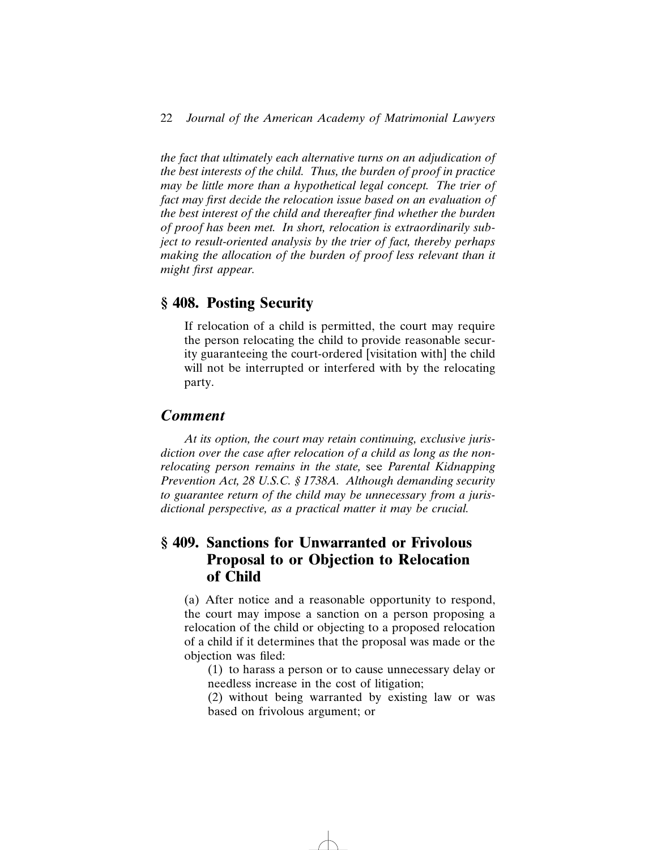*the fact that ultimately each alternative turns on an adjudication of the best interests of the child. Thus, the burden of proof in practice may be little more than a hypothetical legal concept. The trier of fact may first decide the relocation issue based on an evaluation of the best interest of the child and thereafter find whether the burden of proof has been met. In short, relocation is extraordinarily subject to result-oriented analysis by the trier of fact, thereby perhaps making the allocation of the burden of proof less relevant than it might first appear.*

### **§ 408. Posting Security**

If relocation of a child is permitted, the court may require the person relocating the child to provide reasonable security guaranteeing the court-ordered [visitation with] the child will not be interrupted or interfered with by the relocating party.

#### *Comment*

*At its option, the court may retain continuing, exclusive jurisdiction over the case after relocation of a child as long as the nonrelocating person remains in the state,* see *Parental Kidnapping Prevention Act, 28 U.S.C. § 1738A. Although demanding security to guarantee return of the child may be unnecessary from a jurisdictional perspective, as a practical matter it may be crucial.*

### **§ 409. Sanctions for Unwarranted or Frivolous Proposal to or Objection to Relocation of Child**

(a) After notice and a reasonable opportunity to respond, the court may impose a sanction on a person proposing a relocation of the child or objecting to a proposed relocation of a child if it determines that the proposal was made or the objection was filed:

(1) to harass a person or to cause unnecessary delay or needless increase in the cost of litigation;

(2) without being warranted by existing law or was based on frivolous argument; or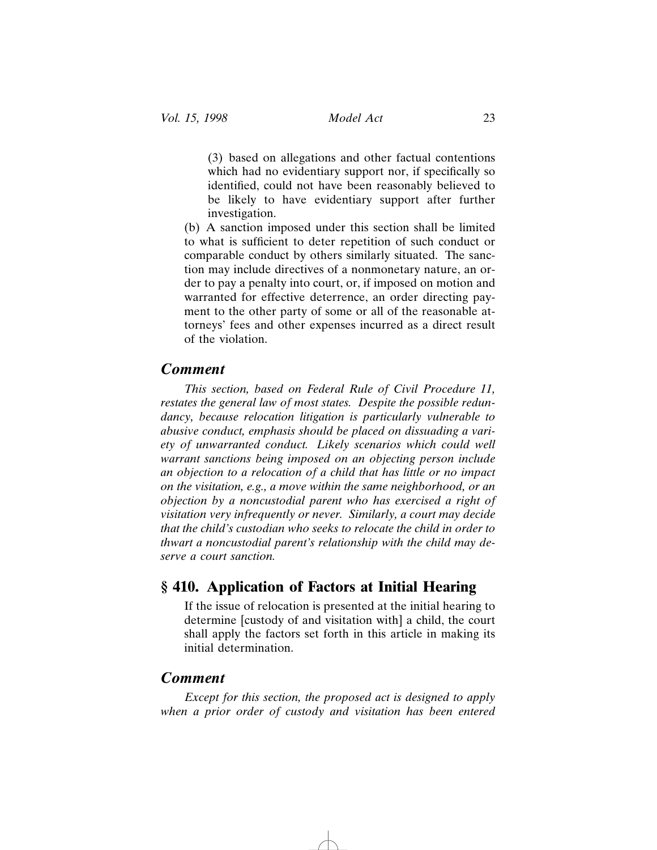(3) based on allegations and other factual contentions which had no evidentiary support nor, if specifically so identified, could not have been reasonably believed to be likely to have evidentiary support after further investigation.

(b) A sanction imposed under this section shall be limited to what is sufficient to deter repetition of such conduct or comparable conduct by others similarly situated. The sanction may include directives of a nonmonetary nature, an order to pay a penalty into court, or, if imposed on motion and warranted for effective deterrence, an order directing payment to the other party of some or all of the reasonable attorneys' fees and other expenses incurred as a direct result of the violation.

#### *Comment*

*This section, based on Federal Rule of Civil Procedure 11, restates the general law of most states. Despite the possible redundancy, because relocation litigation is particularly vulnerable to abusive conduct, emphasis should be placed on dissuading a variety of unwarranted conduct. Likely scenarios which could well warrant sanctions being imposed on an objecting person include an objection to a relocation of a child that has little or no impact on the visitation, e.g., a move within the same neighborhood, or an objection by a noncustodial parent who has exercised a right of visitation very infrequently or never. Similarly, a court may decide that the child's custodian who seeks to relocate the child in order to thwart a noncustodial parent's relationship with the child may deserve a court sanction.*

### **§ 410. Application of Factors at Initial Hearing**

If the issue of relocation is presented at the initial hearing to determine [custody of and visitation with] a child, the court shall apply the factors set forth in this article in making its initial determination.

### *Comment*

*Except for this section, the proposed act is designed to apply when a prior order of custody and visitation has been entered*